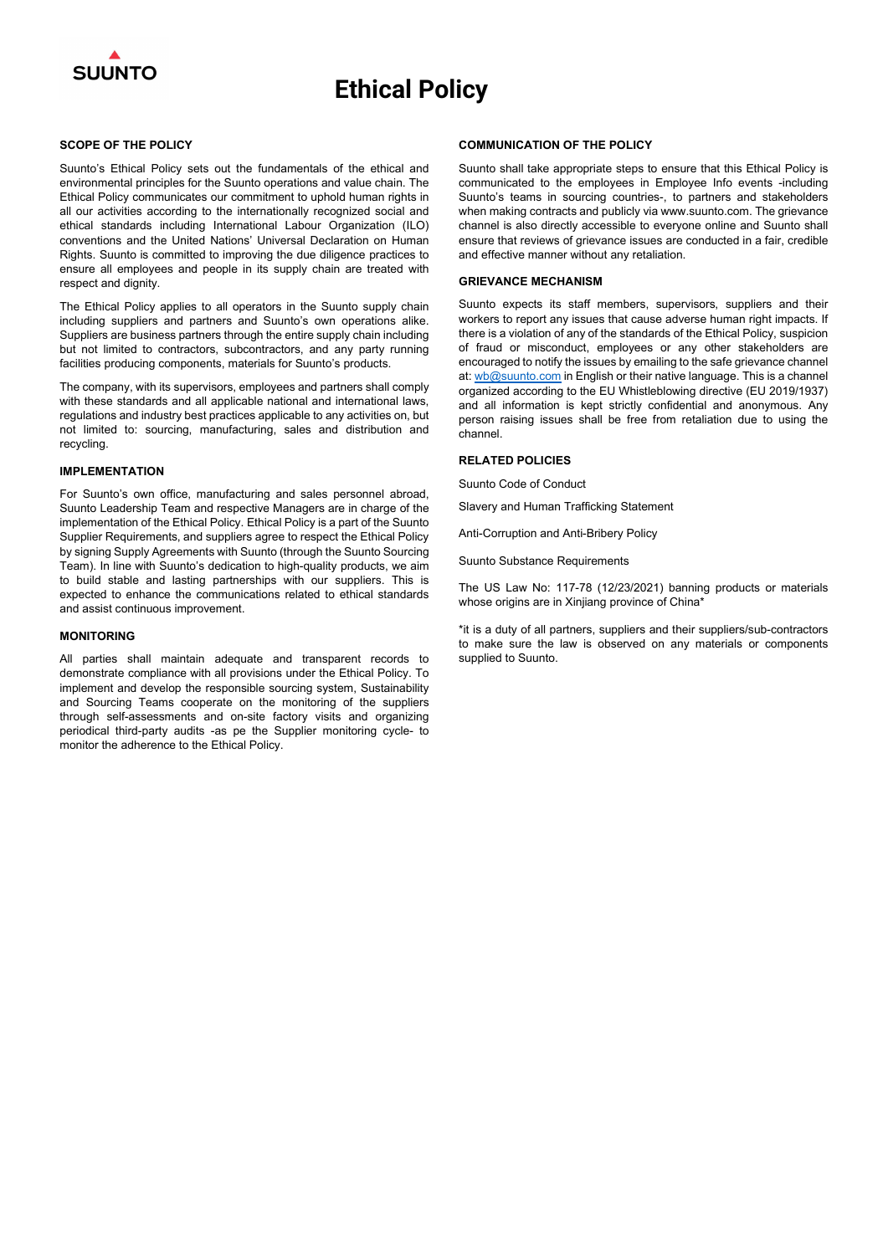

# Ethical Policy

#### SCOPE OF THE POLICY

Suunto's Ethical Policy sets out the fundamentals of the ethical and environmental principles for the Suunto operations and value chain. The Ethical Policy communicates our commitment to uphold human rights in all our activities according to the internationally recognized social and ethical standards including International Labour Organization (ILO) conventions and the United Nations' Universal Declaration on Human Rights. Suunto is committed to improving the due diligence practices to ensure all employees and people in its supply chain are treated with respect and dignity.

The Ethical Policy applies to all operators in the Suunto supply chain including suppliers and partners and Suunto's own operations alike. Suppliers are business partners through the entire supply chain including but not limited to contractors, subcontractors, and any party running facilities producing components, materials for Suunto's products.

The company, with its supervisors, employees and partners shall comply with these standards and all applicable national and international laws, regulations and industry best practices applicable to any activities on, but not limited to: sourcing, manufacturing, sales and distribution and recycling.

#### IMPLEMENTATION

For Suunto's own office, manufacturing and sales personnel abroad, Suunto Leadership Team and respective Managers are in charge of the implementation of the Ethical Policy. Ethical Policy is a part of the Suunto Supplier Requirements, and suppliers agree to respect the Ethical Policy by signing Supply Agreements with Suunto (through the Suunto Sourcing Team). In line with Suunto's dedication to high-quality products, we aim to build stable and lasting partnerships with our suppliers. This is expected to enhance the communications related to ethical standards and assist continuous improvement.

The US Law No: 117-78 (12/23/2021) banning products or materials whose origins are in Xinjiang province of China\*

#### MONITORING

All parties shall maintain adequate and transparent records to demonstrate compliance with all provisions under the Ethical Policy. To implement and develop the responsible sourcing system, Sustainability and Sourcing Teams cooperate on the monitoring of the suppliers through self-assessments and on-site factory visits and organizing periodical third-party audits -as pe the Supplier monitoring cycle- to monitor the adherence to the Ethical Policy.

#### COMMUNICATION OF THE POLICY

Suunto shall take appropriate steps to ensure that this Ethical Policy is communicated to the employees in Employee Info events -including Suunto's teams in sourcing countries-, to partners and stakeholders when making contracts and publicly via www.suunto.com. The grievance channel is also directly accessible to everyone online and Suunto shall ensure that reviews of grievance issues are conducted in a fair, credible and effective manner without any retaliation.

#### GRIEVANCE MECHANISM

Suunto expects its staff members, supervisors, suppliers and their workers to report any issues that cause adverse human right impacts. If there is a violation of any of the standards of the Ethical Policy, suspicion of fraud or misconduct, employees or any other stakeholders are encouraged to notify the issues by emailing to the safe grievance channel at:  $wb@$ suunto.com in English or their native language. This is a channel organized according to the EU Whistleblowing directive (EU 2019/1937) and all information is kept strictly confidential and anonymous. Any person raising issues shall be free from retaliation due to using the channel.

#### RELATED POLICIES

Suunto Code of Conduct

Slavery and Human Trafficking Statement

Anti-Corruption and Anti-Bribery Policy

Suunto Substance Requirements

\*it is a duty of all partners, suppliers and their suppliers/sub-contractors to make sure the law is observed on any materials or components supplied to Suunto.